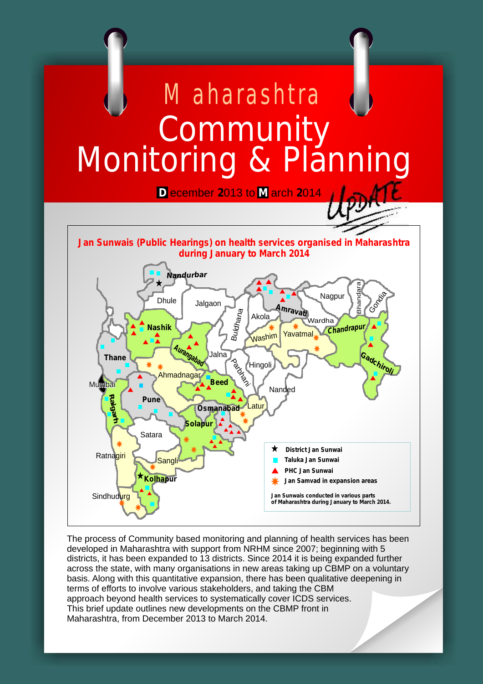**D** ecember **2**013 to **M** arch **2**014

**Jan Sunwais (Public Hearings) on health services organised in Maharashtra during January to March 2014**



The process of Community based monitoring and planning of health services has been developed in Maharashtra with support from NRHM since 2007; beginning with 5 districts, it has been expanded to 13 districts. Since 2014 it is being expanded further across the state, with many organisations in new areas taking up CBMP on a voluntary basis. Along with this quantitative expansion, there has been qualitative deepening in terms of efforts to involve various stakeholders, and taking the CBM approach beyond health services to systematically cover ICDS services. This brief update outlines new developments on the CBMP front in Maharashtra, from December 2013 to March 2014.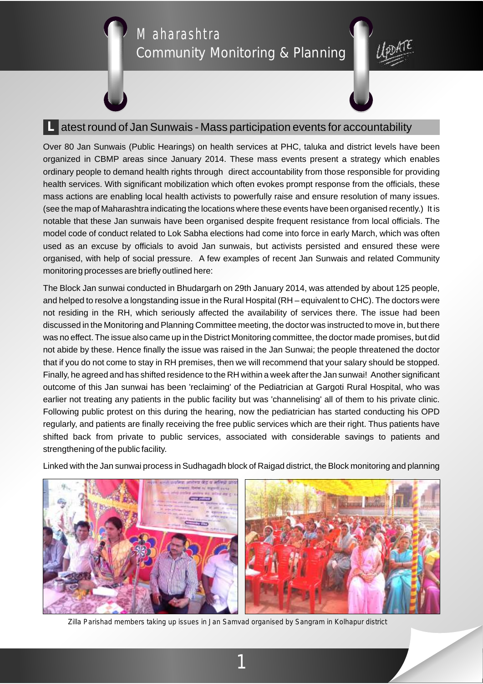#### **L** atest round of Jan Sunwais - Mass participation events for accountability

Over 80 Jan Sunwais (Public Hearings) on health services at PHC, taluka and district levels have been organized in CBMP areas since January 2014. These mass events present a strategy which enables ordinary people to demand health rights through direct accountability from those responsible for providing health services. With significant mobilization which often evokes prompt response from the officials, these mass actions are enabling local health activists to powerfully raise and ensure resolution of many issues. (see the map of Maharashtra indicating the locations where these events have been organised recently.) It is notable that these Jan sunwais have been organised despite frequent resistance from local officials. The model code of conduct related to Lok Sabha elections had come into force in early March, which was often used as an excuse by officials to avoid Jan sunwais, but activists persisted and ensured these were organised, with help of social pressure. A few examples of recent Jan Sunwais and related Community monitoring processes are briefly outlined here:

The Block Jan sunwai conducted in Bhudargarh on 29th January 2014, was attended by about 125 people, and helped to resolve a longstanding issue in the Rural Hospital (RH – equivalent to CHC). The doctors were not residing in the RH, which seriously affected the availability of services there. The issue had been discussed in the Monitoring and Planning Committee meeting, the doctor was instructed to move in, but there was no effect. The issue also came up in the District Monitoring committee, the doctor made promises, but did not abide by these. Hence finally the issue was raised in the Jan Sunwai; the people threatened the doctor that if you do not come to stay in RH premises, then we will recommend that your salary should be stopped. Finally, he agreed and has shifted residence to the RH within a week after the Jan sunwai! Another significant outcome of this Jan sunwai has been 'reclaiming' of the Pediatrician at Gargoti Rural Hospital, who was earlier not treating any patients in the public facility but was 'channelising' all of them to his private clinic. Following public protest on this during the hearing, now the pediatrician has started conducting his OPD regularly, and patients are finally receiving the free public services which are their right. Thus patients have shifted back from private to public services, associated with considerable savings to patients and strengthening of the public facility.

Linked with the Jan sunwai process in Sudhagadh block of Raigad district, the Block monitoring and planning



*Zilla Parishad members taking up issues in Jan Samvad organised by Sangram in Kolhapur district*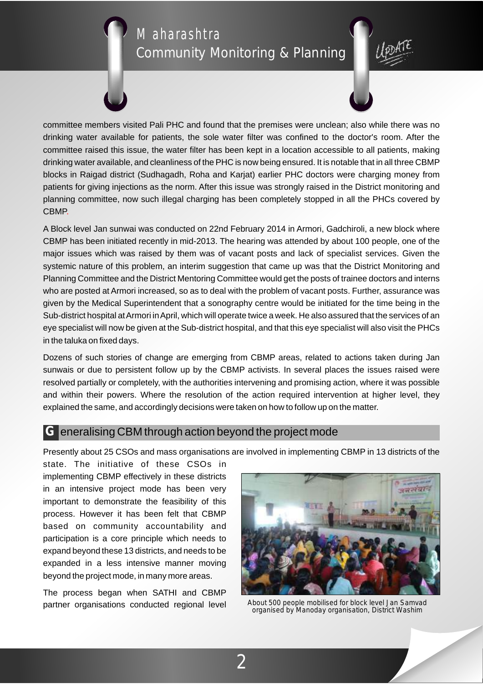

A Block level Jan sunwai was conducted on 22nd February 2014 in Armori, Gadchiroli, a new block where CBMP has been initiated recently in mid-2013. The hearing was attended by about 100 people, one of the major issues which was raised by them was of vacant posts and lack of specialist services. Given the systemic nature of this problem, an interim suggestion that came up was that the District Monitoring and Planning Committee and the District Mentoring Committee would get the posts of trainee doctors and interns who are posted at Armori increased, so as to deal with the problem of vacant posts. Further, assurance was given by the Medical Superintendent that a sonography centre would be initiated for the time being in the Sub-district hospital at Armori in April, which will operate twice a week. He also assured that the services of an eye specialist will now be given at the Sub-district hospital, and that this eye specialist will also visit the PHCs in the taluka on fixed days.

sunwais or due to persistent follow up by the CBMP activists. In several places the issues raised were resolved partially or completely, with the authorities intervening and promising action, where it was possible and within their powers. Where the resolution of the action required intervention at higher level, they explained the same, and accordingly decisions were taken on how to follow up on the matter. Dozens of such stories of change are emerging from CBMP areas, related to actions taken during Jan

### eneralising CBM through action beyond the project mode **G**

Presently about 25 CSOs and mass organisations are involved in implementing CBMP in 13 districts of the

2

state. The initiative of these CSOs in implementing CBMP effectively in these districts in an intensive project mode has been very important to demonstrate the feasibility of this process. However it has been felt that CBMP based on community accountability and participation is a core principle which needs to expand beyond these 13 districts, and needs to be expanded in a less intensive manner moving beyond the project mode, in many more areas.

The process began when SATHI and CBMP partner organisations conducted regional level



HOOME

*About 500 people mobilised for block level Jan Samvad organised by Manoday organisation, District Washim*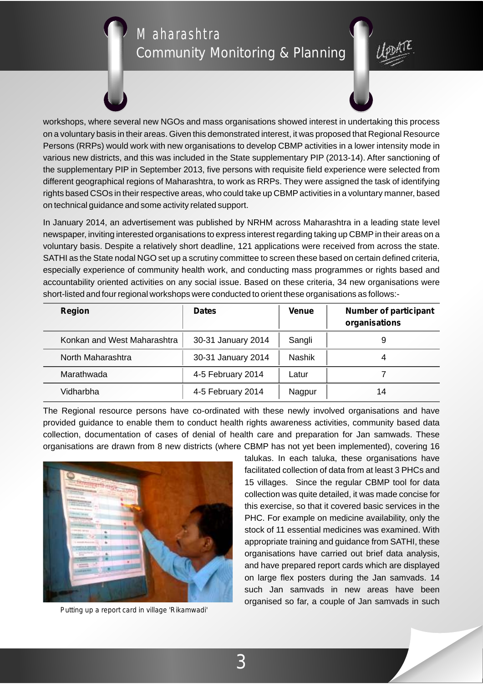workshops, where several new NGOs and mass organisations showed interest in undertaking this process on a voluntary basis in their areas. Given this demonstrated interest, it was proposed that Regional Resource Persons (RRPs) would work with new organisations to develop CBMP activities in a lower intensity mode in various new districts, and this was included in the State supplementary PIP (2013-14). After sanctioning of the supplementary PIP in September 2013, five persons with requisite field experience were selected from different geographical regions of Maharashtra, to work as RRPs. They were assigned the task of identifying rights based CSOs in their respective areas, who could take up CBMPactivities in a voluntary manner, based on technical guidance and some activity related support.

In January 2014, an advertisement was published by NRHM across Maharashtra in a leading state level newspaper, inviting interested organisations to express interest regarding taking up CBMPin their areas on a voluntary basis. Despite a relatively short deadline, 121 applications were received from across the state. SATHI as the State nodal NGO set up a scrutiny committee to screen these based on certain defined criteria, especially experience of community health work, and conducting mass programmes or rights based and accountability oriented activities on any social issue. Based on these criteria, 34 new organisations were short-listed and four regional workshops were conducted to orient these organisations as follows:-

| <b>Region</b>               | <b>Dates</b>       | <b>Venue</b> | <b>Number of participant</b><br>organisations |
|-----------------------------|--------------------|--------------|-----------------------------------------------|
| Konkan and West Maharashtra | 30-31 January 2014 | Sangli       | 9                                             |
| North Maharashtra           | 30-31 January 2014 | Nashik       |                                               |
| Marathwada                  | 4-5 February 2014  | Latur        |                                               |
| Vidharbha                   | 4-5 February 2014  | Nagpur       | 14                                            |

The Regional resource persons have co-ordinated with these newly involved organisations and have provided guidance to enable them to conduct health rights awareness activities, community based data collection, documentation of cases of denial of health care and preparation for Jan samwads. These organisations are drawn from 8 new districts (where CBMP has not yet been implemented), covering 16



*Putting up a report card in village 'Rikamwadi'*

talukas. In each taluka, these organisations have facilitated collection of data from at least 3 PHCs and 15 villages. Since the regular CBMP tool for data collection was quite detailed, it was made concise for this exercise, so that it covered basic services in the PHC. For example on medicine availability, only the stock of 11 essential medicines was examined. With appropriate training and guidance from SATHI, these organisations have carried out brief data analysis, and have prepared report cards which are displayed on large flex posters during the Jan samvads. 14 such Jan samvads in new areas have been organised so far, a couple of Jan samvads in such

Upotre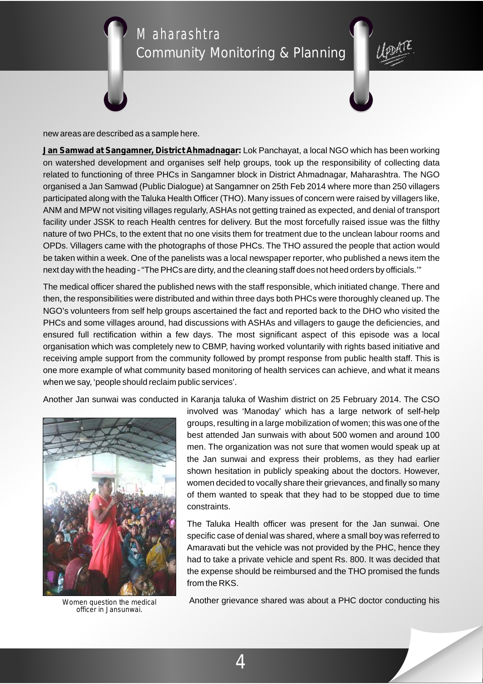



new areas are described as a sample here.

**Jan Samwad at Sangamner, District Ahmadnagar:** Lok Panchayat, a local NGO which has been working on watershed development and organises self help groups, took up the responsibility of collecting data related to functioning of three PHCs in Sangamner block in District Ahmadnagar, Maharashtra. The NGO organised a Jan Samwad (Public Dialogue) at Sangamner on 25th Feb 2014 where more than 250 villagers participated along with the Taluka Health Officer (THO). Many issues of concern were raised by villagers like, ANM and MPW not visiting villages regularly, ASHAs not getting trained as expected, and denial of transport facility under JSSK to reach Health centres for delivery. But the most forcefully raised issue was the filthy nature of two PHCs, to the extent that no one visits them for treatment due to the unclean labour rooms and OPDs. Villagers came with the photographs of those PHCs. The THO assured the people that action would be taken within a week. One of the panelists was a local newspaper reporter, who published a news item the next day with the heading - "The PHCs are dirty, and the cleaning staff does not heed orders by officials.'"

The medical officer shared the published news with the staff responsible, which initiated change. There and then, the responsibilities were distributed and within three days both PHCs were thoroughly cleaned up. The NGO's volunteers from self help groups ascertained the fact and reported back to the DHO who visited the PHCs and some villages around, had discussions with ASHAs and villagers to gauge the deficiencies, and ensured full rectification within a few days. The most significant aspect of this episode was a local organisation which was completely new to CBMP, having worked voluntarily with rights based initiative and receiving ample support from the community followed by prompt response from public health staff. This is one more example of what community based monitoring of health services can achieve, and what it means when we say, 'people should reclaim public services'.

Another Jan sunwai was conducted in Karanja taluka of Washim district on 25 February 2014. The CSO

 $\varDelta$ 



*officer in Jansunwai.* 

involved was 'Manoday' which has a large network of self-help groups, resulting in a large mobilization of women; this was one of the best attended Jan sunwais with about 500 women and around 100 men. The organization was not sure that women would speak up at the Jan sunwai and express their problems, as they had earlier shown hesitation in publicly speaking about the doctors. However, women decided to vocally share their grievances, and finally so many of them wanted to speak that they had to be stopped due to time constraints.

The Taluka Health officer was present for the Jan sunwai. One specific case of denial was shared, where a small boy was referred to Amaravati but the vehicle was not provided by the PHC, hence they had to take a private vehicle and spent Rs. 800. It was decided that the expense should be reimbursed and the THO promised the funds from the RKS.

*Women question the medical* Another grievance shared was about a PHC doctor conducting his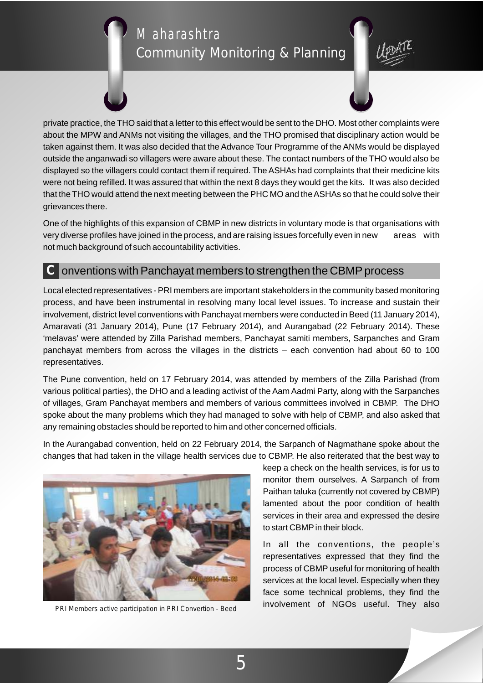private practice, the THO said that a letter to this effect would be sent to the DHO. Most other complaints were about the MPW and ANMs not visiting the villages, and the THO promised that disciplinary action would be taken against them. It was also decided that the Advance Tour Programme of the ANMs would be displayed outside the anganwadi so villagers were aware about these. The contact numbers of the THO would also be displayed so the villagers could contact them if required. The ASHAs had complaints that their medicine kits were not being refilled. It was assured that within the next 8 days they would get the kits. It was also decided that the THO would attend the next meeting between the PHC MO and the ASHAs so that he could solve their grievances there.

One of the highlights of this expansion of CBMP in new districts in voluntary mode is that organisations with very diverse profiles have joined in the process, and are raising issues forcefully even in new areas with not much background of such accountability activities.

#### onventions with Panchayat members to strengthen the CBMPprocess **C**

Local elected representatives - PRI members are important stakeholders in the community based monitoring process, and have been instrumental in resolving many local level issues. To increase and sustain their involvement, district level conventions with Panchayat members were conducted in Beed (11 January 2014), Amaravati (31 January 2014), Pune (17 February 2014), and Aurangabad (22 February 2014). These 'melavas' were attended by Zilla Parishad members, Panchayat samiti members, Sarpanches and Gram panchayat members from across the villages in the districts – each convention had about 60 to 100 representatives.

The Pune convention, held on 17 February 2014, was attended by members of the Zilla Parishad (from various political parties), the DHO and a leading activist of the Aam Aadmi Party, along with the Sarpanches of villages, Gram Panchayat members and members of various committees involved in CBMP. The DHO spoke about the many problems which they had managed to solve with help of CBMP, and also asked that any remaining obstacles should be reported to him and other concerned officials.

In the Aurangabad convention, held on 22 February 2014, the Sarpanch of Nagmathane spoke about the changes that had taken in the village health services due to CBMP. He also reiterated that the best way to



*PRI Members active participation in PRI Convertion - Beed* 

keep a check on the health services, is for us to monitor them ourselves. A Sarpanch of from Paithan taluka (currently not covered by CBMP) lamented about the poor condition of health services in their area and expressed the desire to start CBMP in their block.

In all the conventions, the people's representatives expressed that they find the process of CBMP useful for monitoring of health services at the local level. Especially when they face some technical problems, they find the involvement of NGOs useful. They also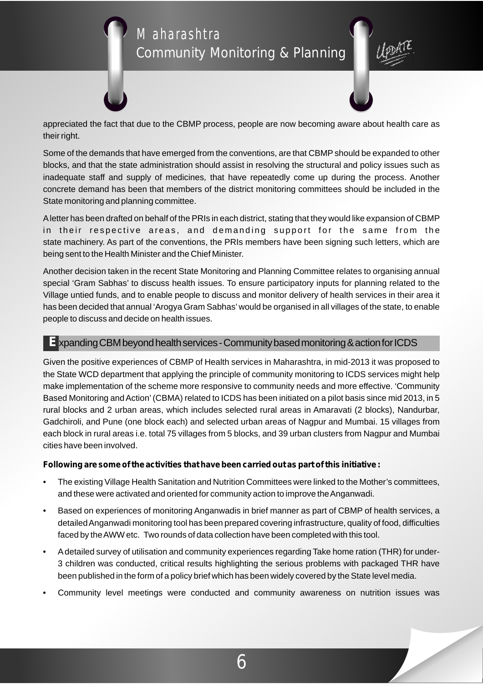



appreciated the fact that due to the CBMP process, people are now becoming aware about health care as their right.

Some of the demands that have emerged from the conventions, are that CBMP should be expanded to other blocks, and that the state administration should assist in resolving the structural and policy issues such as inadequate staff and supply of medicines, that have repeatedly come up during the process. Another concrete demand has been that members of the district monitoring committees should be included in the State monitoring and planning committee.

Aletter has been drafted on behalf of the PRIs in each district, stating that they would like expansion of CBMP in their respective areas, and demanding support for the same from the state machinery. As part of the conventions, the PRIs members have been signing such letters, which are being sent to the Health Minister and the Chief Minister.

Another decision taken in the recent State Monitoring and Planning Committee relates to organising annual special 'Gram Sabhas' to discuss health issues. To ensure participatory inputs for planning related to the Village untied funds, and to enable people to discuss and monitor delivery of health services in their area it has been decided that annual 'Arogya Gram Sabhas' would be organised in all villages of the state, to enable people to discuss and decide on health issues.

### **E** xpanding CBM beyond health services - Community based monitoring & action for ICDS

Given the positive experiences of CBMP of Health services in Maharashtra, in mid-2013 it was proposed to the State WCD department that applying the principle of community monitoring to ICDS services might help make implementation of the scheme more responsive to community needs and more effective. 'Community Based Monitoring and Action' (CBMA) related to ICDS has been initiated on a pilot basis since mid 2013, in 5 rural blocks and 2 urban areas, which includes selected rural areas in Amaravati (2 blocks), Nandurbar, Gadchiroli, and Pune (one block each) and selected urban areas of Nagpur and Mumbai. 15 villages from each block in rural areas i.e. total 75 villages from 5 blocks, and 39 urban clusters from Nagpur and Mumbai cities have been involved.

#### **Following are some of the activities that have been carried out as part of this initiative :**

- The existing Village Health Sanitation and Nutrition Committees were linked to the Mother's committees, and these were activated and oriented for community action to improve the Anganwadi.
- Based on experiences of monitoring Anganwadis in brief manner as part of CBMP of health services, a detailed Anganwadi monitoring tool has been prepared covering infrastructure, quality of food, difficulties faced by the AWW etc. Two rounds of data collection have been completed with this tool.
- Adetailed survey of utilisation and community experiences regarding Take home ration (THR) for under-3 children was conducted, critical results highlighting the serious problems with packaged THR have been published in the form of a policy brief which has been widely covered by the State level media.
- Community level meetings were conducted and community awareness on nutrition issues was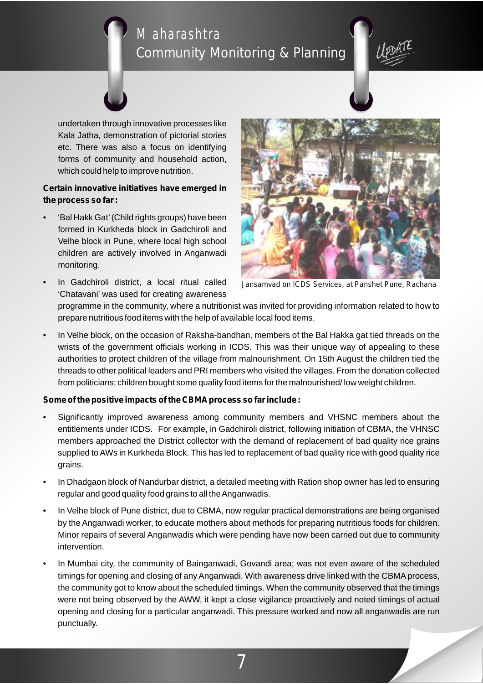

undertaken through innovative processes like Kala Jatha, demonstration of pictorial stories etc. There was also a focus on identifying forms of community and household action, which could help to improve nutrition.

#### **Certain innovative initiatives have emerged in the process so far :**

- 'Bal Hakk Gat'(Child rights groups) have been formed in Kurkheda block in Gadchiroli and Velhe block in Pune, where local high school children are actively involved in Anganwadi monitoring.
- In Gadchiroli district, a local ritual called 'Chatavani' was used for creating awareness



*Jansamvad on ICDS Services, at Panshet Pune, Rachana* 

programme in the community, where a nutritionist was invited for providing information related to how to prepare nutritious food items with the help of available local food items.

• In Velhe block, on the occasion of Raksha-bandhan, members of the Bal Hakka gat tied threads on the wrists of the government officials working in ICDS. This was their unique way of appealing to these authorities to protect children of the village from malnourishment. On 15th August the children tied the threads to other political leaders and PRI members who visited the villages. From the donation collected from politicians; children bought some quality food items for the malnourished/ low weight children.

#### **Some of the positive impacts of the CBMAprocess so far include :**

- Significantly improved awareness among community members and VHSNC members about the entitlements under ICDS. For example, in Gadchiroli district, following initiation of CBMA, the VHNSC members approached the District collector with the demand of replacement of bad quality rice grains supplied to AWs in Kurkheda Block. This has led to replacement of bad quality rice with good quality rice grains.
- In Dhadgaon block of Nandurbar district, a detailed meeting with Ration shop owner has led to ensuring regular and good quality food grains to all the Anganwadis.
- In Velhe block of Pune district, due to CBMA, now regular practical demonstrations are being organised by the Anganwadi worker, to educate mothers about methods for preparing nutritious foods for children. Minor repairs of several Anganwadis which were pending have now been carried out due to community intervention.
- In Mumbai city, the community of Bainganwadi, Govandi area; was not even aware of the scheduled timings for opening and closing of any Anganwadi. With awareness drive linked with the CBMA process, the community got to know about the scheduled timings. When the community observed that the timings were not being observed by the AWW, it kept a close vigilance proactively and noted timings of actual opening and closing for a particular anganwadi. This pressure worked and now all anganwadis are run punctually.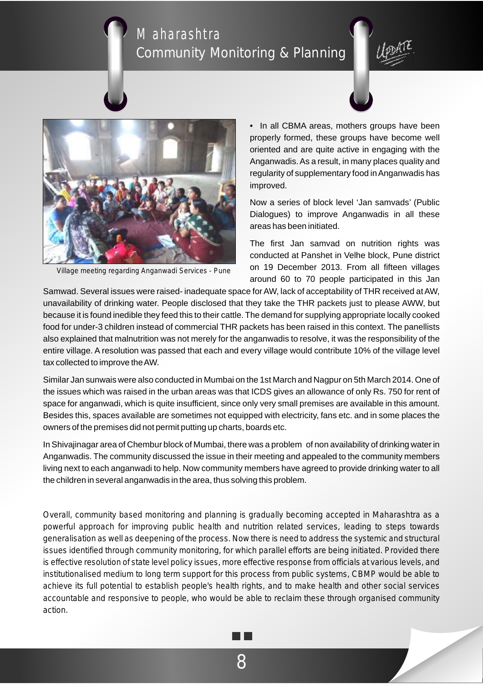

*Village meeting regarding Anganwadi Services - Pune* 

• In all CBMA areas, mothers groups have been properly formed, these groups have become well oriented and are quite active in engaging with the Anganwadis. As a result, in many places quality and regularity of supplementary food in Anganwadis has improved.

Now a series of block level 'Jan samvads' (Public Dialogues) to improve Anganwadis in all these areas has been initiated.

The first Jan samvad on nutrition rights was conducted at Panshet in Velhe block, Pune district on 19 December 2013. From all fifteen villages around 60 to 70 people participated in this Jan

Samwad. Several issues were raised- inadequate space for AW, lack of acceptability of THR received at AW, unavailability of drinking water. People disclosed that they take the THR packets just to please AWW, but because it is found inedible they feed this to their cattle. The demand for supplying appropriate locally cooked food for under-3 children instead of commercial THR packets has been raised in this context. The panellists also explained that malnutrition was not merely for the anganwadis to resolve, it was the responsibility of the entire village. A resolution was passed that each and every village would contribute 10% of the village level tax collected to improve the AW.

Similar Jan sunwais were also conducted in Mumbai on the 1st March and Nagpur on 5th March 2014. One of the issues which was raised in the urban areas was that ICDS gives an allowance of only Rs. 750 for rent of space for anganwadi, which is quite insufficient, since only very small premises are available in this amount. Besides this, spaces available are sometimes not equipped with electricity, fans etc. and in some places the owners of the premises did not permit putting up charts, boards etc.

In Shivajinagar area of Chembur block of Mumbai, there was a problem of non availability of drinking water in Anganwadis. The community discussed the issue in their meeting and appealed to the community members living next to each anganwadi to help. Now community members have agreed to provide drinking water to all the children in several anganwadis in the area, thus solving this problem.

*Overall, community based monitoring and planning is gradually becoming accepted in Maharashtra as a powerful approach for improving public health and nutrition related services, leading to steps towards generalisation as well as deepening of the process. Now there is need to address the systemic and structural*  is effective resolution of state level policy issues, more effective response from officials at various levels, and *institutionalised medium to long term support for this process from public systems, CBMP would be able to achieve its full potential to establish people's health rights, and to make health and other social services accountable and responsive to people, who would be able to reclaim these through organised community action. issues identified through community monitoring, for which parallel efforts are being initiated. Provided there*